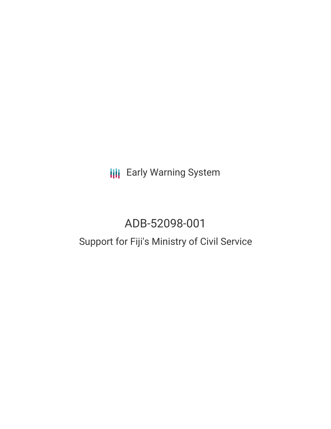**III** Early Warning System

# ADB-52098-001

## Support for Fiji's Ministry of Civil Service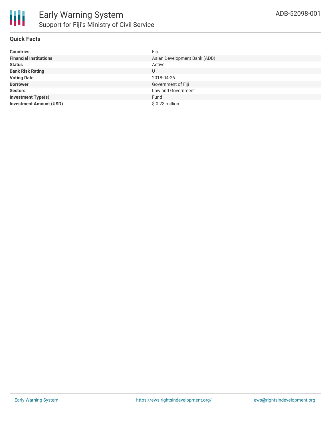

#### **Quick Facts**

| <b>Countries</b>               | Fiji                         |
|--------------------------------|------------------------------|
| <b>Financial Institutions</b>  | Asian Development Bank (ADB) |
| <b>Status</b>                  | Active                       |
| <b>Bank Risk Rating</b>        | U                            |
| <b>Voting Date</b>             | 2018-04-26                   |
| <b>Borrower</b>                | Government of Fiji           |
| <b>Sectors</b>                 | Law and Government           |
| <b>Investment Type(s)</b>      | Fund                         |
| <b>Investment Amount (USD)</b> | \$ 0.23 million              |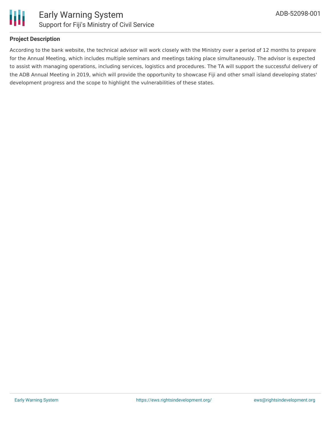



#### **Project Description**

According to the bank website, the technical advisor will work closely with the Ministry over a period of 12 months to prepare for the Annual Meeting, which includes multiple seminars and meetings taking place simultaneously. The advisor is expected to assist with managing operations, including services, logistics and procedures. The TA will support the successful delivery of the ADB Annual Meeting in 2019, which will provide the opportunity to showcase Fiji and other small island developing states' development progress and the scope to highlight the vulnerabilities of these states.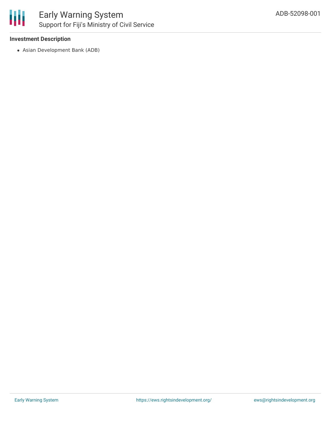

## Early Warning System Support for Fiji's Ministry of Civil Service

#### **Investment Description**

Asian Development Bank (ADB)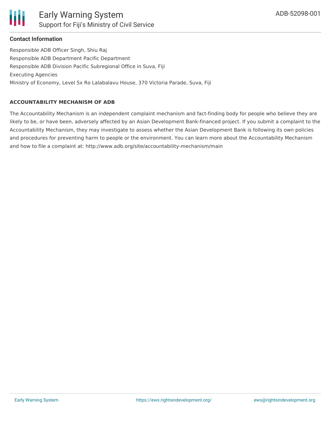

#### **Contact Information**

Responsible ADB Officer Singh, Shiu Raj Responsible ADB Department Pacific Department Responsible ADB Division Pacific Subregional Office in Suva, Fiji Executing Agencies Ministry of Economy, Level 5x Ro Lalabalavu House, 370 Victoria Parade, Suva, Fiji

#### **ACCOUNTABILITY MECHANISM OF ADB**

The Accountability Mechanism is an independent complaint mechanism and fact-finding body for people who believe they are likely to be, or have been, adversely affected by an Asian Development Bank-financed project. If you submit a complaint to the Accountability Mechanism, they may investigate to assess whether the Asian Development Bank is following its own policies and procedures for preventing harm to people or the environment. You can learn more about the Accountability Mechanism and how to file a complaint at: http://www.adb.org/site/accountability-mechanism/main